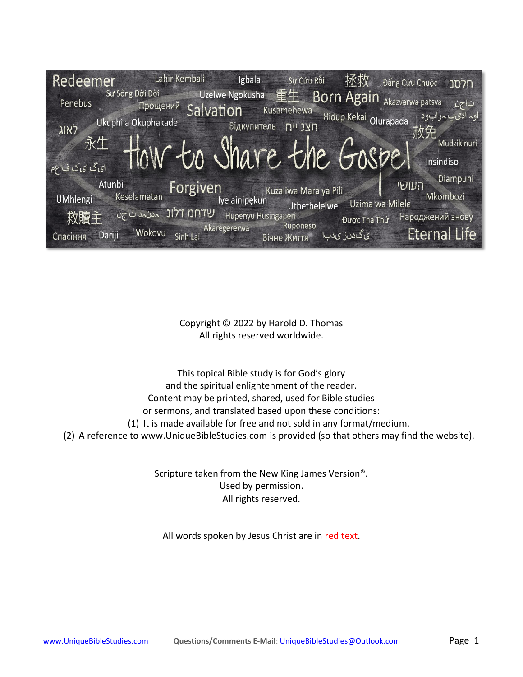| Redeemer                  | Lahir Kembali<br>Sự Sống Đời Đời | Igbala                                                       | Sự Cứu Rỗi               | 拯救<br>Đấng Cứu Chuộc                                                                                               | חלסנ                  |
|---------------------------|----------------------------------|--------------------------------------------------------------|--------------------------|--------------------------------------------------------------------------------------------------------------------|-----------------------|
| Penebus                   | <b>Прощений</b><br>Salvation     | Uzelwe Ngokusha 重生 Born Again Akazvarwa patsva<br>Kusamehewa |                          |                                                                                                                    | تاجن                  |
| לאוג                      | Ukuphila Okuphakade              | Відкупитель П" JYN                                           |                          | اوہ ادی ہاب مرابود (Hidup Kekal Olurapada                                                                          |                       |
| 永生                        | How to Share the Gospel          |                                                              |                          |                                                                                                                    | Mudzikinuri           |
| ای گ ای ک ف!عم            |                                  |                                                              |                          |                                                                                                                    | Insindiso<br>Diampuni |
| Atunbi<br><b>UMhlengi</b> | Forgiven<br>Keselamatan          | Iye ainipekun                                                | Kuzaliwa Mara ya Pili    | העושי<br>Uzima wa Milele                                                                                           | Mkombozi              |
| 救贖主                       | שדחמ דלונ <sub>אטאג שוקטן</sub>  | Hupenyu Husingaperi                                          | Uthethelelwe<br>Ruponeso | Được Tha Thứ                                                                                                       | Народжений знову      |
| Dariji<br>Спасіння        | Wokovu<br>Sinh Lai               | Akaregererwa<br>Вічне Життя                                  |                          | ا سال کی دن زی کار با است.<br>مسائل کو برای کار می برای کار می برای کار می برای کار می باشت که برای کو برای کار می | <b>Eternal Life</b>   |

Copyright © 2022 by Harold D. Thomas All rights reserved worldwide.

This topical Bible study is for God's glory and the spiritual enlightenment of the reader. Content may be printed, shared, used for Bible studies or sermons, and translated based upon these conditions: (1) It is made available for free and not sold in any format/medium. (2) A reference to [www.UniqueBibleStudies.com](http://www.uniquebiblestudies.com/) is provided (so that others may find the website).

> Scripture taken from the New King James Version®. Used by permission. All rights reserved.

All words spoken by Jesus Christ are in red text.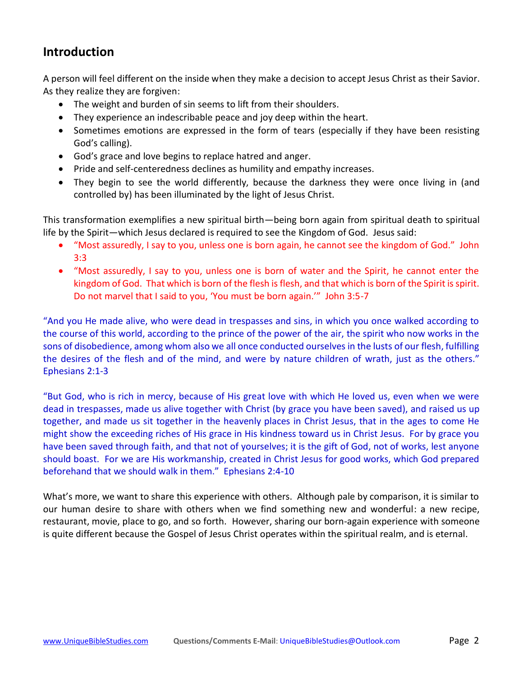# **Introduction**

A person will feel different on the inside when they make a decision to accept Jesus Christ as their Savior. As they realize they are forgiven:

- The weight and burden of sin seems to lift from their shoulders.
- They experience an indescribable peace and joy deep within the heart.
- Sometimes emotions are expressed in the form of tears (especially if they have been resisting God's calling).
- God's grace and love begins to replace hatred and anger.
- Pride and self-centeredness declines as humility and empathy increases.
- They begin to see the world differently, because the darkness they were once living in (and controlled by) has been illuminated by the light of Jesus Christ.

This transformation exemplifies a new spiritual birth—being born again from spiritual death to spiritual life by the Spirit—which Jesus declared is required to see the Kingdom of God. Jesus said:

- "Most assuredly, I say to you, unless one is born again, he cannot see the kingdom of God." John 3:3
- "Most assuredly, I say to you, unless one is born of water and the Spirit, he cannot enter the kingdom of God. That which is born of the flesh is flesh, and that which is born of the Spirit is spirit. Do not marvel that I said to you, 'You must be born again.'" John 3:5-7

"And you He made alive, who were dead in trespasses and sins, in which you once walked according to the course of this world, according to the prince of the power of the air, the spirit who now works in the sons of disobedience, among whom also we all once conducted ourselves in the lusts of our flesh, fulfilling the desires of the flesh and of the mind, and were by nature children of wrath, just as the others." Ephesians 2:1-3

"But God, who is rich in mercy, because of His great love with which He loved us, even when we were dead in trespasses, made us alive together with Christ (by grace you have been saved), and raised us up together, and made us sit together in the heavenly places in Christ Jesus, that in the ages to come He might show the exceeding riches of His grace in His kindness toward us in Christ Jesus. For by grace you have been saved through faith, and that not of yourselves; it is the gift of God, not of works, lest anyone should boast. For we are His workmanship, created in Christ Jesus for good works, which God prepared beforehand that we should walk in them." Ephesians 2:4-10

What's more, we want to share this experience with others. Although pale by comparison, it is similar to our human desire to share with others when we find something new and wonderful: a new recipe, restaurant, movie, place to go, and so forth. However, sharing our born-again experience with someone is quite different because the Gospel of Jesus Christ operates within the spiritual realm, and is eternal.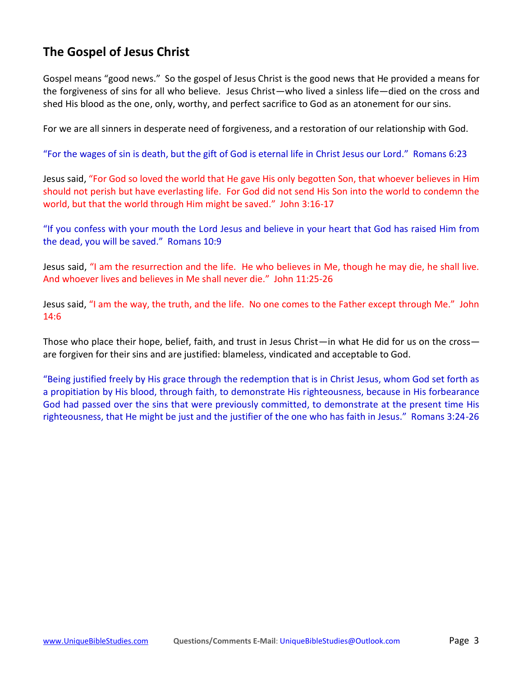# **The Gospel of Jesus Christ**

Gospel means "good news." So the gospel of Jesus Christ is the good news that He provided a means for the forgiveness of sins for all who believe. Jesus Christ—who lived a sinless life—died on the cross and shed His blood as the one, only, worthy, and perfect sacrifice to God as an atonement for our sins.

For we are all sinners in desperate need of forgiveness, and a restoration of our relationship with God.

"For the wages of sin is death, but the gift of God is eternal life in Christ Jesus our Lord." Romans 6:23

Jesus said, "For God so loved the world that He gave His only begotten Son, that whoever believes in Him should not perish but have everlasting life. For God did not send His Son into the world to condemn the world, but that the world through Him might be saved." John 3:16-17

"If you confess with your mouth the Lord Jesus and believe in your heart that God has raised Him from the dead, you will be saved." Romans 10:9

Jesus said, "I am the resurrection and the life. He who believes in Me, though he may die, he shall live. And whoever lives and believes in Me shall never die." John 11:25-26

Jesus said, "I am the way, the truth, and the life. No one comes to the Father except through Me." John 14:6

Those who place their hope, belief, faith, and trust in Jesus Christ—in what He did for us on the cross are forgiven for their sins and are justified: blameless, vindicated and acceptable to God.

"Being justified freely by His grace through the redemption that is in Christ Jesus, whom God set forth as a propitiation by His blood, through faith, to demonstrate His righteousness, because in His forbearance God had passed over the sins that were previously committed, to demonstrate at the present time His righteousness, that He might be just and the justifier of the one who has faith in Jesus." Romans 3:24-26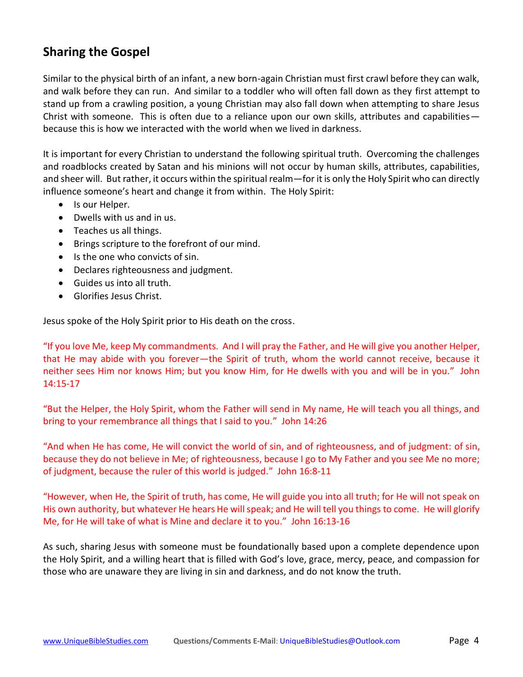# **Sharing the Gospel**

Similar to the physical birth of an infant, a new born-again Christian must first crawl before they can walk, and walk before they can run. And similar to a toddler who will often fall down as they first attempt to stand up from a crawling position, a young Christian may also fall down when attempting to share Jesus Christ with someone. This is often due to a reliance upon our own skills, attributes and capabilities because this is how we interacted with the world when we lived in darkness.

It is important for every Christian to understand the following spiritual truth. Overcoming the challenges and roadblocks created by Satan and his minions will not occur by human skills, attributes, capabilities, and sheer will. But rather, it occurs within the spiritual realm—for it is only the Holy Spirit who can directly influence someone's heart and change it from within. The Holy Spirit:

- Is our Helper.
- Dwells with us and in us.
- Teaches us all things.
- Brings scripture to the forefront of our mind.
- Is the one who convicts of sin.
- Declares righteousness and judgment.
- Guides us into all truth.
- Glorifies Jesus Christ.

Jesus spoke of the Holy Spirit prior to His death on the cross.

"If you love Me, keep My commandments. And I will pray the Father, and He will give you another Helper, that He may abide with you forever—the Spirit of truth, whom the world cannot receive, because it neither sees Him nor knows Him; but you know Him, for He dwells with you and will be in you." John 14:15-17

"But the Helper, the Holy Spirit, whom the Father will send in My name, He will teach you all things, and bring to your remembrance all things that I said to you." John 14:26

"And when He has come, He will convict the world of sin, and of righteousness, and of judgment: of sin, because they do not believe in Me; of righteousness, because I go to My Father and you see Me no more; of judgment, because the ruler of this world is judged." John 16:8-11

"However, when He, the Spirit of truth, has come, He will guide you into all truth; for He will not speak on His own authority, but whatever He hears He will speak; and He will tell you things to come. He will glorify Me, for He will take of what is Mine and declare it to you." John 16:13-16

As such, sharing Jesus with someone must be foundationally based upon a complete dependence upon the Holy Spirit, and a willing heart that is filled with God's love, grace, mercy, peace, and compassion for those who are unaware they are living in sin and darkness, and do not know the truth.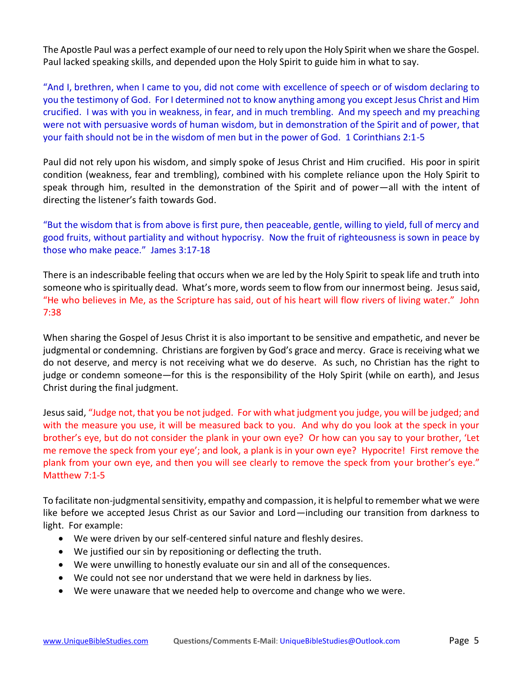The Apostle Paul was a perfect example of our need to rely upon the Holy Spirit when we share the Gospel. Paul lacked speaking skills, and depended upon the Holy Spirit to guide him in what to say.

"And I, brethren, when I came to you, did not come with excellence of speech or of wisdom declaring to you the testimony of God. For I determined not to know anything among you except Jesus Christ and Him crucified. I was with you in weakness, in fear, and in much trembling. And my speech and my preaching were not with persuasive words of human wisdom, but in demonstration of the Spirit and of power, that your faith should not be in the wisdom of men but in the power of God. 1 Corinthians 2:1-5

Paul did not rely upon his wisdom, and simply spoke of Jesus Christ and Him crucified. His poor in spirit condition (weakness, fear and trembling), combined with his complete reliance upon the Holy Spirit to speak through him, resulted in the demonstration of the Spirit and of power—all with the intent of directing the listener's faith towards God.

"But the wisdom that is from above is first pure, then peaceable, gentle, willing to yield, full of mercy and good fruits, without partiality and without hypocrisy. Now the fruit of righteousness is sown in peace by those who make peace." James 3:17-18

There is an indescribable feeling that occurs when we are led by the Holy Spirit to speak life and truth into someone who is spiritually dead. What's more, words seem to flow from our innermost being. Jesus said, "He who believes in Me, as the Scripture has said, out of his heart will flow rivers of living water." John 7:38

When sharing the Gospel of Jesus Christ it is also important to be sensitive and empathetic, and never be judgmental or condemning. Christians are forgiven by God's grace and mercy. Grace is receiving what we do not deserve, and mercy is not receiving what we do deserve. As such, no Christian has the right to judge or condemn someone—for this is the responsibility of the Holy Spirit (while on earth), and Jesus Christ during the final judgment.

Jesus said, "Judge not, that you be not judged. For with what judgment you judge, you will be judged; and with the measure you use, it will be measured back to you. And why do you look at the speck in your brother's eye, but do not consider the plank in your own eye? Or how can you say to your brother, 'Let me remove the speck from your eye'; and look, a plank is in your own eye? Hypocrite! First remove the plank from your own eye, and then you will see clearly to remove the speck from your brother's eye." Matthew 7:1-5

To facilitate non-judgmental sensitivity, empathy and compassion, it is helpful to remember what we were like before we accepted Jesus Christ as our Savior and Lord—including our transition from darkness to light. For example:

- We were driven by our self-centered sinful nature and fleshly desires.
- We justified our sin by repositioning or deflecting the truth.
- We were unwilling to honestly evaluate our sin and all of the consequences.
- We could not see nor understand that we were held in darkness by lies.
- We were unaware that we needed help to overcome and change who we were.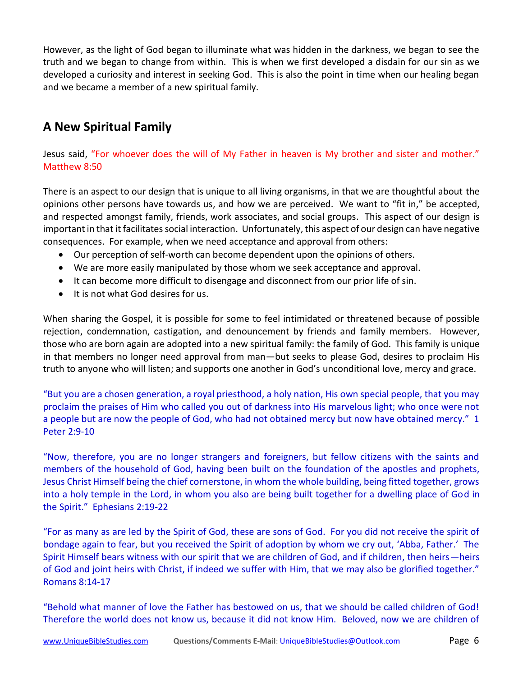However, as the light of God began to illuminate what was hidden in the darkness, we began to see the truth and we began to change from within. This is when we first developed a disdain for our sin as we developed a curiosity and interest in seeking God. This is also the point in time when our healing began and we became a member of a new spiritual family.

# **A New Spiritual Family**

Jesus said, "For whoever does the will of My Father in heaven is My brother and sister and mother." Matthew 8:50

There is an aspect to our design that is unique to all living organisms, in that we are thoughtful about the opinions other persons have towards us, and how we are perceived. We want to "fit in," be accepted, and respected amongst family, friends, work associates, and social groups. This aspect of our design is important in that it facilitates social interaction. Unfortunately, this aspect of our design can have negative consequences. For example, when we need acceptance and approval from others:

- Our perception of self-worth can become dependent upon the opinions of others.
- We are more easily manipulated by those whom we seek acceptance and approval.
- It can become more difficult to disengage and disconnect from our prior life of sin.
- It is not what God desires for us.

When sharing the Gospel, it is possible for some to feel intimidated or threatened because of possible rejection, condemnation, castigation, and denouncement by friends and family members. However, those who are born again are adopted into a new spiritual family: the family of God. This family is unique in that members no longer need approval from man—but seeks to please God, desires to proclaim His truth to anyone who will listen; and supports one another in God's unconditional love, mercy and grace.

"But you are a chosen generation, a royal priesthood, a holy nation, His own special people, that you may proclaim the praises of Him who called you out of darkness into His marvelous light; who once were not a people but are now the people of God, who had not obtained mercy but now have obtained mercy." 1 Peter 2:9-10

"Now, therefore, you are no longer strangers and foreigners, but fellow citizens with the saints and members of the household of God, having been built on the foundation of the apostles and prophets, Jesus Christ Himself being the chief cornerstone, in whom the whole building, being fitted together, grows into a holy temple in the Lord, in whom you also are being built together for a dwelling place of God in the Spirit." Ephesians 2:19-22

"For as many as are led by the Spirit of God, these are sons of God. For you did not receive the spirit of bondage again to fear, but you received the Spirit of adoption by whom we cry out, 'Abba, Father.' The Spirit Himself bears witness with our spirit that we are children of God, and if children, then heirs—heirs of God and joint heirs with Christ, if indeed we suffer with Him, that we may also be glorified together." Romans 8:14-17

"Behold what manner of love the Father has bestowed on us, that we should be called children of God! Therefore the world does not know us, because it did not know Him. Beloved, now we are children of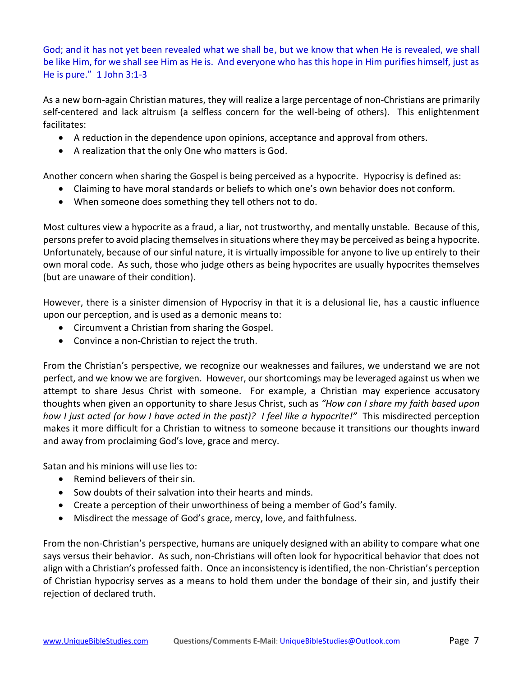God; and it has not yet been revealed what we shall be, but we know that when He is revealed, we shall be like Him, for we shall see Him as He is. And everyone who has this hope in Him purifies himself, just as He is pure." 1 John 3:1-3

As a new born-again Christian matures, they will realize a large percentage of non-Christians are primarily self-centered and lack altruism (a selfless concern for the well-being of others). This enlightenment facilitates:

- A reduction in the dependence upon opinions, acceptance and approval from others.
- A realization that the only One who matters is God.

Another concern when sharing the Gospel is being perceived as a hypocrite. Hypocrisy is defined as:

- Claiming to have moral standards or beliefs to which one's own behavior does not conform.
- When someone does something they tell others not to do.

Most cultures view a hypocrite as a fraud, a liar, not trustworthy, and mentally unstable. Because of this, persons prefer to avoid placing themselves in situations where they may be perceived as being a hypocrite. Unfortunately, because of our sinful nature, it is virtually impossible for anyone to live up entirely to their own moral code. As such, those who judge others as being hypocrites are usually hypocrites themselves (but are unaware of their condition).

However, there is a sinister dimension of Hypocrisy in that it is a delusional lie, has a caustic influence upon our perception, and is used as a demonic means to:

- Circumvent a Christian from sharing the Gospel.
- Convince a non-Christian to reject the truth.

From the Christian's perspective, we recognize our weaknesses and failures, we understand we are not perfect, and we know we are forgiven. However, our shortcomings may be leveraged against us when we attempt to share Jesus Christ with someone. For example, a Christian may experience accusatory thoughts when given an opportunity to share Jesus Christ, such as *"How can I share my faith based upon how I just acted (or how I have acted in the past)? I feel like a hypocrite!"* This misdirected perception makes it more difficult for a Christian to witness to someone because it transitions our thoughts inward and away from proclaiming God's love, grace and mercy.

Satan and his minions will use lies to:

- Remind believers of their sin.
- Sow doubts of their salvation into their hearts and minds.
- Create a perception of their unworthiness of being a member of God's family.
- Misdirect the message of God's grace, mercy, love, and faithfulness.

From the non-Christian's perspective, humans are uniquely designed with an ability to compare what one says versus their behavior. As such, non-Christians will often look for hypocritical behavior that does not align with a Christian's professed faith. Once an inconsistency is identified, the non-Christian's perception of Christian hypocrisy serves as a means to hold them under the bondage of their sin, and justify their rejection of declared truth.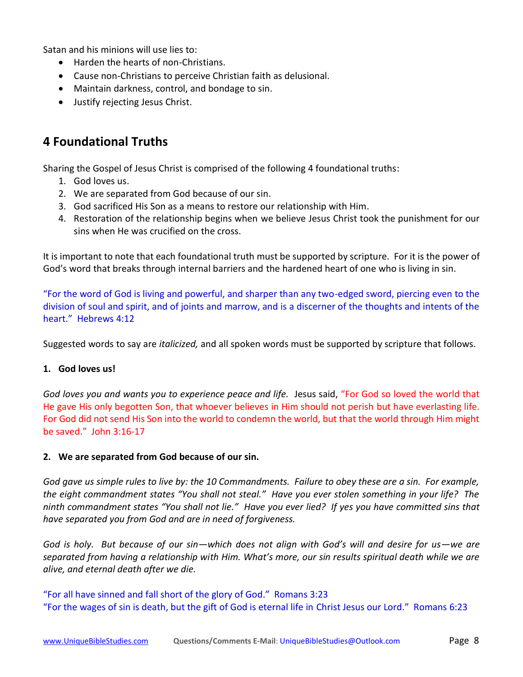Satan and his minions will use lies to:

- Harden the hearts of non-Christians.
- Cause non-Christians to perceive Christian faith as delusional.
- Maintain darkness, control, and bondage to sin.
- Justify rejecting Jesus Christ.

# **4 Foundational Truths**

Sharing the Gospel of Jesus Christ is comprised of the following 4 foundational truths:

- 1. God loves us.
- 2. We are separated from God because of our sin.
- 3. God sacrificed His Son as a means to restore our relationship with Him.
- 4. Restoration of the relationship begins when we believe Jesus Christ took the punishment for our sins when He was crucified on the cross.

It is important to note that each foundational truth must be supported by scripture. For it is the power of God's word that breaks through internal barriers and the hardened heart of one who is living in sin.

"For the word of God is living and powerful, and sharper than any two-edged sword, piercing even to the division of soul and spirit, and of joints and marrow, and is a discerner of the thoughts and intents of the heart." Hebrews 4:12

Suggested words to say are *italicized,* and all spoken words must be supported by scripture that follows.

## **1. God loves us!**

*God loves you and wants you to experience peace and life.* Jesus said, "For God so loved the world that He gave His only begotten Son, that whoever believes in Him should not perish but have everlasting life. For God did not send His Son into the world to condemn the world, but that the world through Him might be saved." John 3:16-17

## **2. We are separated from God because of our sin.**

*God gave us simple rules to live by: the 10 Commandments. Failure to obey these are a sin. For example, the eight commandment states "You shall not steal." Have you ever stolen something in your life? The ninth commandment states "You shall not lie." Have you ever lied? If yes you have committed sins that have separated you from God and are in need of forgiveness.*

*God is holy. But because of our sin—which does not align with God's will and desire for us—we are separated from having a relationship with Him. What's more, our sin results spiritual death while we are alive, and eternal death after we die.*

"For all have sinned and fall short of the glory of God." Romans 3:23 "For the wages of sin is death, but the gift of God is eternal life in Christ Jesus our Lord." Romans 6:23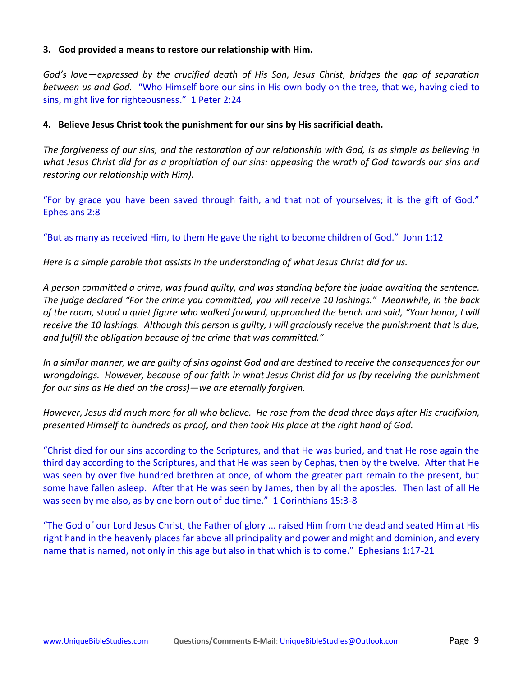### **3. God provided a means to restore our relationship with Him.**

*God's love—expressed by the crucified death of His Son, Jesus Christ, bridges the gap of separation between us and God.* "Who Himself bore our sins in His own body on the tree, that we, having died to sins, might live for righteousness." 1 Peter 2:24

#### **4. Believe Jesus Christ took the punishment for our sins by His sacrificial death.**

*The forgiveness of our sins, and the restoration of our relationship with God, is as simple as believing in what Jesus Christ did for as a propitiation of our sins: appeasing the wrath of God towards our sins and restoring our relationship with Him).*

"For by grace you have been saved through faith, and that not of yourselves; it is the gift of God." Ephesians 2:8

"But as many as received Him, to them He gave the right to become children of God." John 1:12

*Here is a simple parable that assists in the understanding of what Jesus Christ did for us.*

*A person committed a crime, was found guilty, and was standing before the judge awaiting the sentence. The judge declared "For the crime you committed, you will receive 10 lashings." Meanwhile, in the back of the room, stood a quiet figure who walked forward, approached the bench and said, "Your honor, I will receive the 10 lashings. Although this person is guilty, I will graciously receive the punishment that is due, and fulfill the obligation because of the crime that was committed."* 

*In a similar manner, we are guilty of sins against God and are destined to receive the consequences for our wrongdoings. However, because of our faith in what Jesus Christ did for us (by receiving the punishment for our sins as He died on the cross)—we are eternally forgiven.* 

*However, Jesus did much more for all who believe. He rose from the dead three days after His crucifixion, presented Himself to hundreds as proof, and then took His place at the right hand of God.*

"Christ died for our sins according to the Scriptures, and that He was buried, and that He rose again the third day according to the Scriptures, and that He was seen by Cephas, then by the twelve. After that He was seen by over five hundred brethren at once, of whom the greater part remain to the present, but some have fallen asleep. After that He was seen by James, then by all the apostles. Then last of all He was seen by me also, as by one born out of due time." 1 Corinthians 15:3-8

"The God of our Lord Jesus Christ, the Father of glory ... raised Him from the dead and seated Him at His right hand in the heavenly places far above all principality and power and might and dominion, and every name that is named, not only in this age but also in that which is to come." Ephesians 1:17-21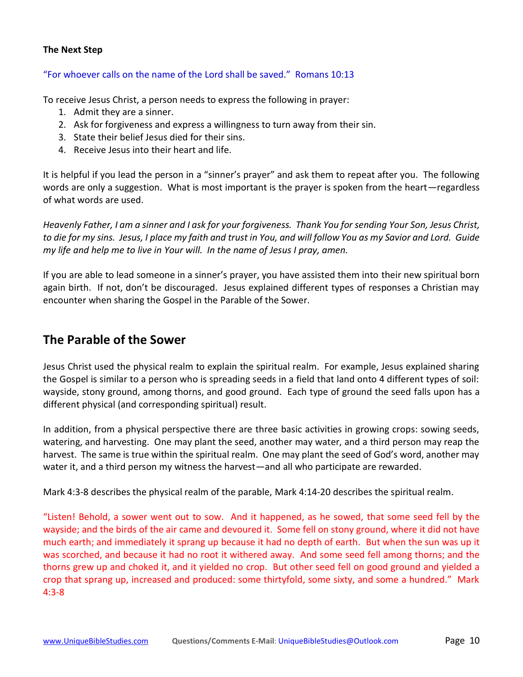### **The Next Step**

#### "For whoever calls on the name of the Lord shall be saved." Romans 10:13

To receive Jesus Christ, a person needs to express the following in prayer:

- 1. Admit they are a sinner.
- 2. Ask for forgiveness and express a willingness to turn away from their sin.
- 3. State their belief Jesus died for their sins.
- 4. Receive Jesus into their heart and life.

It is helpful if you lead the person in a "sinner's prayer" and ask them to repeat after you. The following words are only a suggestion. What is most important is the prayer is spoken from the heart—regardless of what words are used.

*Heavenly Father, I am a sinner and I ask for your forgiveness. Thank You for sending Your Son, Jesus Christ, to die for my sins. Jesus, I place my faith and trust in You, and will follow You as my Savior and Lord. Guide my life and help me to live in Your will. In the name of Jesus I pray, amen.*

If you are able to lead someone in a sinner's prayer, you have assisted them into their new spiritual born again birth. If not, don't be discouraged. Jesus explained different types of responses a Christian may encounter when sharing the Gospel in the Parable of the Sower.

## **The Parable of the Sower**

Jesus Christ used the physical realm to explain the spiritual realm. For example, Jesus explained sharing the Gospel is similar to a person who is spreading seeds in a field that land onto 4 different types of soil: wayside, stony ground, among thorns, and good ground. Each type of ground the seed falls upon has a different physical (and corresponding spiritual) result.

In addition, from a physical perspective there are three basic activities in growing crops: sowing seeds, watering, and harvesting. One may plant the seed, another may water, and a third person may reap the harvest. The same is true within the spiritual realm. One may plant the seed of God's word, another may water it, and a third person my witness the harvest—and all who participate are rewarded.

Mark 4:3-8 describes the physical realm of the parable, Mark 4:14-20 describes the spiritual realm.

"Listen! Behold, a sower went out to sow. And it happened, as he sowed, that some seed fell by the wayside; and the birds of the air came and devoured it. Some fell on stony ground, where it did not have much earth; and immediately it sprang up because it had no depth of earth. But when the sun was up it was scorched, and because it had no root it withered away. And some seed fell among thorns; and the thorns grew up and choked it, and it yielded no crop. But other seed fell on good ground and yielded a crop that sprang up, increased and produced: some thirtyfold, some sixty, and some a hundred." Mark 4:3-8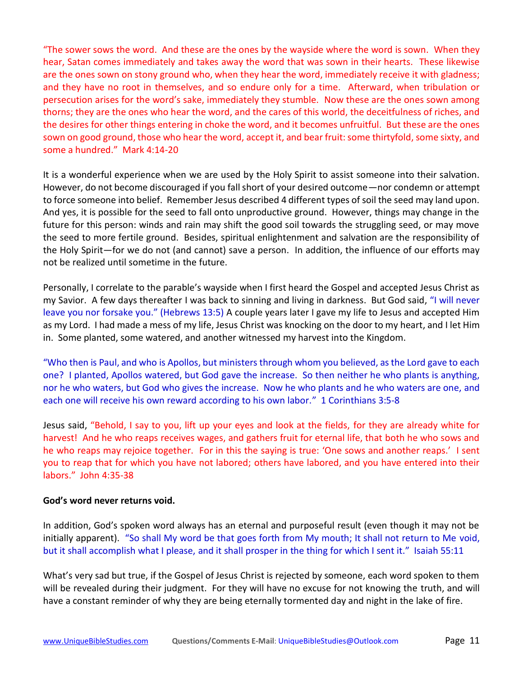"The sower sows the word. And these are the ones by the wayside where the word is sown. When they hear, Satan comes immediately and takes away the word that was sown in their hearts. These likewise are the ones sown on stony ground who, when they hear the word, immediately receive it with gladness; and they have no root in themselves, and so endure only for a time. Afterward, when tribulation or persecution arises for the word's sake, immediately they stumble. Now these are the ones sown among thorns; they are the ones who hear the word, and the cares of this world, the deceitfulness of riches, and the desires for other things entering in choke the word, and it becomes unfruitful. But these are the ones sown on good ground, those who hear the word, accept it, and bear fruit: some thirtyfold, some sixty, and some a hundred." Mark 4:14-20

It is a wonderful experience when we are used by the Holy Spirit to assist someone into their salvation. However, do not become discouraged if you fall short of your desired outcome—nor condemn or attempt to force someone into belief. Remember Jesus described 4 different types of soil the seed may land upon. And yes, it is possible for the seed to fall onto unproductive ground. However, things may change in the future for this person: winds and rain may shift the good soil towards the struggling seed, or may move the seed to more fertile ground. Besides, spiritual enlightenment and salvation are the responsibility of the Holy Spirit—for we do not (and cannot) save a person. In addition, the influence of our efforts may not be realized until sometime in the future.

Personally, I correlate to the parable's wayside when I first heard the Gospel and accepted Jesus Christ as my Savior. A few days thereafter I was back to sinning and living in darkness. But God said, "I will never leave you nor forsake you." (Hebrews 13:5) A couple years later I gave my life to Jesus and accepted Him as my Lord. I had made a mess of my life, Jesus Christ was knocking on the door to my heart, and I let Him in. Some planted, some watered, and another witnessed my harvest into the Kingdom.

"Who then is Paul, and who is Apollos, but ministers through whom you believed, as the Lord gave to each one? I planted, Apollos watered, but God gave the increase. So then neither he who plants is anything, nor he who waters, but God who gives the increase. Now he who plants and he who waters are one, and each one will receive his own reward according to his own labor." 1 Corinthians 3:5-8

Jesus said, "Behold, I say to you, lift up your eyes and look at the fields, for they are already white for harvest! And he who reaps receives wages, and gathers fruit for eternal life, that both he who sows and he who reaps may rejoice together. For in this the saying is true: 'One sows and another reaps.' I sent you to reap that for which you have not labored; others have labored, and you have entered into their labors." John 4:35-38

### **God's word never returns void.**

In addition, God's spoken word always has an eternal and purposeful result (even though it may not be initially apparent). "So shall My word be that goes forth from My mouth; It shall not return to Me void, but it shall accomplish what I please, and it shall prosper in the thing for which I sent it." Isaiah 55:11

What's very sad but true, if the Gospel of Jesus Christ is rejected by someone, each word spoken to them will be revealed during their judgment. For they will have no excuse for not knowing the truth, and will have a constant reminder of why they are being eternally tormented day and night in the lake of fire.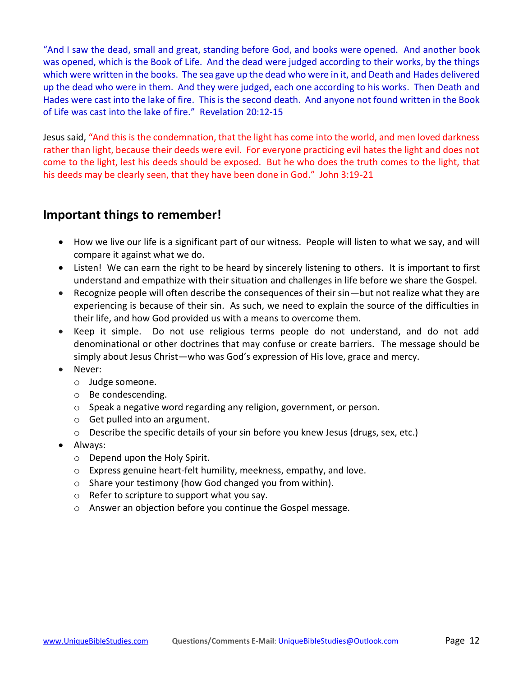"And I saw the dead, small and great, standing before God, and books were opened. And another book was opened, which is the Book of Life. And the dead were judged according to their works, by the things which were written in the books. The sea gave up the dead who were in it, and Death and Hades delivered up the dead who were in them. And they were judged, each one according to his works. Then Death and Hades were cast into the lake of fire. This is the second death. And anyone not found written in the Book of Life was cast into the lake of fire." Revelation 20:12-15

Jesus said, "And this is the condemnation, that the light has come into the world, and men loved darkness rather than light, because their deeds were evil. For everyone practicing evil hates the light and does not come to the light, lest his deeds should be exposed. But he who does the truth comes to the light, that his deeds may be clearly seen, that they have been done in God." John 3:19-21

## **Important things to remember!**

- How we live our life is a significant part of our witness. People will listen to what we say, and will compare it against what we do.
- Listen! We can earn the right to be heard by sincerely listening to others. It is important to first understand and empathize with their situation and challenges in life before we share the Gospel.
- Recognize people will often describe the consequences of their sin—but not realize what they are experiencing is because of their sin. As such, we need to explain the source of the difficulties in their life, and how God provided us with a means to overcome them.
- Keep it simple. Do not use religious terms people do not understand, and do not add denominational or other doctrines that may confuse or create barriers. The message should be simply about Jesus Christ—who was God's expression of His love, grace and mercy.
- Never:
	- o Judge someone.
	- o Be condescending.
	- o Speak a negative word regarding any religion, government, or person.
	- o Get pulled into an argument.
	- o Describe the specific details of your sin before you knew Jesus (drugs, sex, etc.)
- Always:
	- o Depend upon the Holy Spirit.
	- o Express genuine heart-felt humility, meekness, empathy, and love.
	- o Share your testimony (how God changed you from within).
	- o Refer to scripture to support what you say.
	- o Answer an objection before you continue the Gospel message.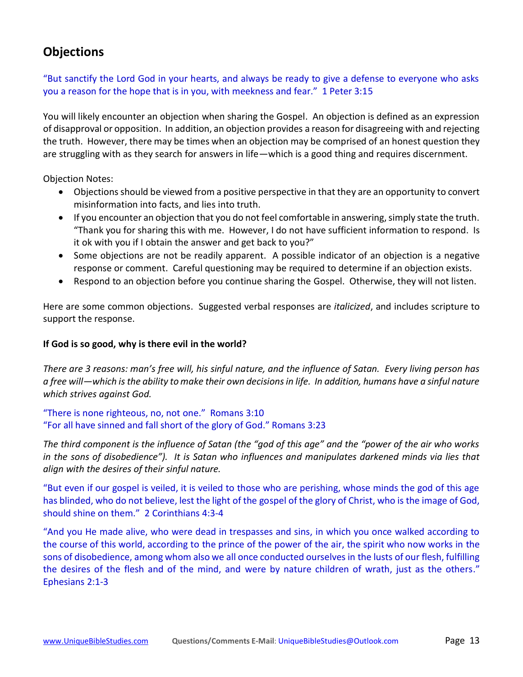# **Objections**

"But sanctify the Lord God in your hearts, and always be ready to give a defense to everyone who asks you a reason for the hope that is in you, with meekness and fear." 1 Peter 3:15

You will likely encounter an objection when sharing the Gospel. An objection is defined as an expression of disapproval or opposition. In addition, an objection provides a reason for disagreeing with and rejecting the truth. However, there may be times when an objection may be comprised of an honest question they are struggling with as they search for answers in life—which is a good thing and requires discernment.

Objection Notes:

- Objections should be viewed from a positive perspective in that they are an opportunity to convert misinformation into facts, and lies into truth.
- If you encounter an objection that you do not feel comfortable in answering, simply state the truth. "Thank you for sharing this with me. However, I do not have sufficient information to respond. Is it ok with you if I obtain the answer and get back to you?"
- Some objections are not be readily apparent. A possible indicator of an objection is a negative response or comment. Careful questioning may be required to determine if an objection exists.
- Respond to an objection before you continue sharing the Gospel. Otherwise, they will not listen.

Here are some common objections. Suggested verbal responses are *italicized*, and includes scripture to support the response.

## **If God is so good, why is there evil in the world?**

*There are 3 reasons: man's free will, his sinful nature, and the influence of Satan. Every living person has a free will—which is the ability to make their own decisions in life. In addition, humans have a sinful nature which strives against God.*

"There is none righteous, no, not one." Romans 3:10 "For all have sinned and fall short of the glory of God." Romans 3:23

*The third component is the influence of Satan (the "god of this age" and the "power of the air who works in the sons of disobedience"). It is Satan who influences and manipulates darkened minds via lies that align with the desires of their sinful nature.*

"But even if our gospel is veiled, it is veiled to those who are perishing, whose minds the god of this age has blinded, who do not believe, lest the light of the gospel of the glory of Christ, who is the image of God, should shine on them." 2 Corinthians 4:3-4

"And you He made alive, who were dead in trespasses and sins, in which you once walked according to the course of this world, according to the prince of the power of the air, the spirit who now works in the sons of disobedience, among whom also we all once conducted ourselves in the lusts of our flesh, fulfilling the desires of the flesh and of the mind, and were by nature children of wrath, just as the others." Ephesians 2:1-3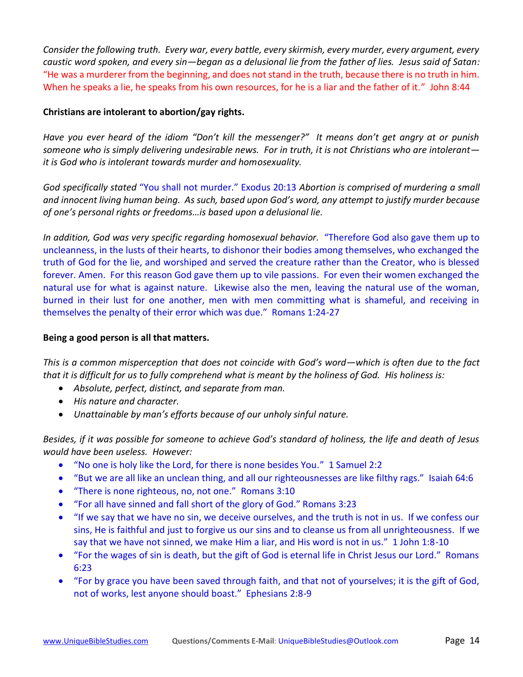*Consider the following truth. Every war, every battle, every skirmish, every murder, every argument, every caustic word spoken, and every sin—began as a delusional lie from the father of lies. Jesus said of Satan:* "He was a murderer from the beginning, and does not stand in the truth, because there is no truth in him. When he speaks a lie, he speaks from his own resources, for he is a liar and the father of it." John 8:44

## **Christians are intolerant to abortion/gay rights.**

*Have you ever heard of the idiom "Don't kill the messenger?" It means don't get angry at or punish someone who is simply delivering undesirable news. For in truth, it is not Christians who are intolerant it is God who is intolerant towards murder and homosexuality.*

*God specifically stated* "You shall not murder." Exodus 20:13 *Abortion is comprised of murdering a small and innocent living human being. As such, based upon God's word, any attempt to justify murder because of one's personal rights or freedoms…is based upon a delusional lie.*

*In addition, God was very specific regarding homosexual behavior.* "Therefore God also gave them up to uncleanness, in the lusts of their hearts, to dishonor their bodies among themselves, who exchanged the truth of God for the lie, and worshiped and served the creature rather than the Creator, who is blessed forever. Amen. For this reason God gave them up to vile passions. For even their women exchanged the natural use for what is against nature. Likewise also the men, leaving the natural use of the woman, burned in their lust for one another, men with men committing what is shameful, and receiving in themselves the penalty of their error which was due." Romans 1:24-27

## **Being a good person is all that matters.**

*This is a common misperception that does not coincide with God's word—which is often due to the fact that it is difficult for us to fully comprehend what is meant by the holiness of God. His holiness is:*

- *Absolute, perfect, distinct, and separate from man.*
- *His nature and character.*
- *Unattainable by man's efforts because of our unholy sinful nature.*

*Besides, if it was possible for someone to achieve God's standard of holiness, the life and death of Jesus would have been useless. However:*

- "No one is holy like the Lord, for there is none besides You." 1 Samuel 2:2
- "But we are all like an unclean thing, and all our righteousnesses are like filthy rags." Isaiah 64:6
- "There is none righteous, no, not one." Romans 3:10
- "For all have sinned and fall short of the glory of God." Romans 3:23
- "If we say that we have no sin, we deceive ourselves, and the truth is not in us. If we confess our sins, He is faithful and just to forgive us our sins and to cleanse us from all unrighteousness. If we say that we have not sinned, we make Him a liar, and His word is not in us." 1 John 1:8-10
- "For the wages of sin is death, but the gift of God is eternal life in Christ Jesus our Lord." Romans 6:23
- "For by grace you have been saved through faith, and that not of yourselves; it is the gift of God, not of works, lest anyone should boast." Ephesians 2:8-9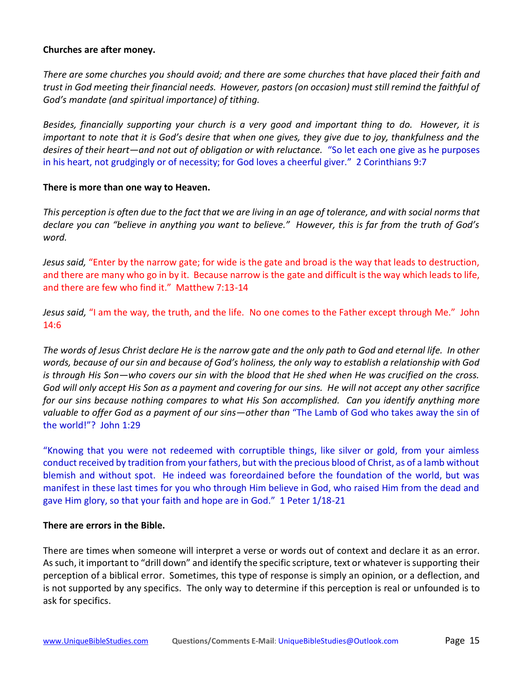### **Churches are after money.**

*There are some churches you should avoid; and there are some churches that have placed their faith and trust in God meeting their financial needs. However, pastors (on occasion) must still remind the faithful of God's mandate (and spiritual importance) of tithing.*

*Besides, financially supporting your church is a very good and important thing to do. However, it is important to note that it is God's desire that when one gives, they give due to joy, thankfulness and the desires of their heart—and not out of obligation or with reluctance.* "So let each one give as he purposes in his heart, not grudgingly or of necessity; for God loves a cheerful giver." 2 Corinthians 9:7

### **There is more than one way to Heaven.**

*This perception is often due to the fact that we are living in an age of tolerance, and with social norms that declare you can "believe in anything you want to believe." However, this is far from the truth of God's word.*

*Jesus said,* "Enter by the narrow gate; for wide is the gate and broad is the way that leads to destruction, and there are many who go in by it. Because narrow is the gate and difficult is the way which leads to life, and there are few who find it." Matthew 7:13-14

*Jesus said,* "I am the way, the truth, and the life. No one comes to the Father except through Me." John 14:6

*The words of Jesus Christ declare He is the narrow gate and the only path to God and eternal life. In other words, because of our sin and because of God's holiness, the only way to establish a relationship with God is through His Son—who covers our sin with the blood that He shed when He was crucified on the cross. God will only accept His Son as a payment and covering for our sins. He will not accept any other sacrifice for our sins because nothing compares to what His Son accomplished. Can you identify anything more valuable to offer God as a payment of our sins—other than* "The Lamb of God who takes away the sin of the world!"? John 1:29

"Knowing that you were not redeemed with corruptible things, like silver or gold, from your aimless conduct received by tradition from your fathers, but with the precious blood of Christ, as of a lamb without blemish and without spot. He indeed was foreordained before the foundation of the world, but was manifest in these last times for you who through Him believe in God, who raised Him from the dead and gave Him glory, so that your faith and hope are in God." 1 Peter 1/18-21

## **There are errors in the Bible.**

There are times when someone will interpret a verse or words out of context and declare it as an error. As such, it important to "drill down" and identify the specific scripture, text or whatever is supporting their perception of a biblical error. Sometimes, this type of response is simply an opinion, or a deflection, and is not supported by any specifics. The only way to determine if this perception is real or unfounded is to ask for specifics.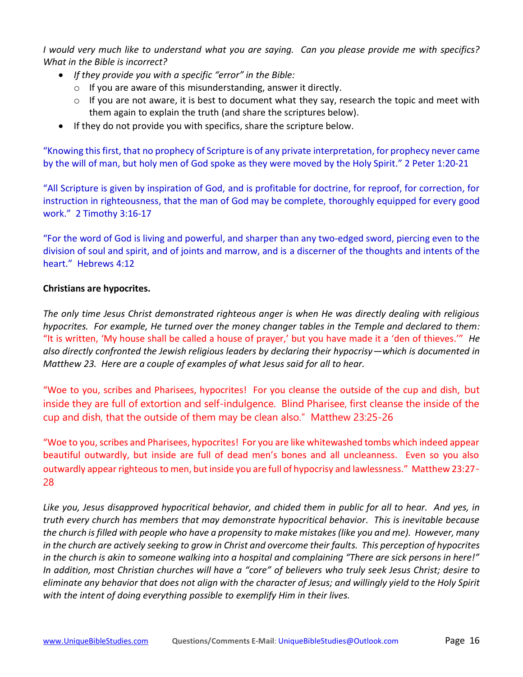*I would very much like to understand what you are saying. Can you please provide me with specifics? What in the Bible is incorrect?* 

- *If they provide you with a specific "error" in the Bible:*
	- o If you are aware of this misunderstanding, answer it directly.
	- $\circ$  If you are not aware, it is best to document what they say, research the topic and meet with them again to explain the truth (and share the scriptures below).
- If they do not provide you with specifics, share the scripture below.

"Knowing this first, that no prophecy of Scripture is of any private interpretation, for prophecy never came by the will of man, but holy men of God spoke as they were moved by the Holy Spirit." 2 Peter 1:20-21

"All Scripture is given by inspiration of God, and is profitable for doctrine, for reproof, for correction, for instruction in righteousness, that the man of God may be complete, thoroughly equipped for every good work." 2 Timothy 3:16-17

"For the word of God is living and powerful, and sharper than any two-edged sword, piercing even to the division of soul and spirit, and of joints and marrow, and is a discerner of the thoughts and intents of the heart." Hebrews 4:12

### **Christians are hypocrites.**

*The only time Jesus Christ demonstrated righteous anger is when He was directly dealing with religious hypocrites. For example, He turned over the money changer tables in the Temple and declared to them:* "It is written, 'My house shall be called a house of prayer,' but you have made it a 'den of thieves.'" *He also directly confronted the Jewish religious leaders by declaring their hypocrisy—which is documented in Matthew 23. Here are a couple of examples of what Jesus said for all to hear.*

"Woe to you, scribes and Pharisees, hypocrites! For you cleanse the outside of the cup and dish, but inside they are full of extortion and self-indulgence. Blind Pharisee, first cleanse the inside of the cup and dish, that the outside of them may be clean also." Matthew 23:25-26

"Woe to you, scribes and Pharisees, hypocrites! For you are like whitewashed tombs which indeed appear beautiful outwardly, but inside are full of dead men's bones and all uncleanness. Even so you also outwardly appear righteous to men, but inside you are full of hypocrisy and lawlessness." Matthew 23:27- 28

*Like you, Jesus disapproved hypocritical behavior, and chided them in public for all to hear. And yes, in truth every church has members that may demonstrate hypocritical behavior. This is inevitable because the church is filled with people who have a propensity to make mistakes (like you and me). However, many in the church are actively seeking to grow in Christ and overcome their faults. This perception of hypocrites in the church is akin to someone walking into a hospital and complaining "There are sick persons in here!" In addition, most Christian churches will have a "core" of believers who truly seek Jesus Christ; desire to eliminate any behavior that does not align with the character of Jesus; and willingly yield to the Holy Spirit with the intent of doing everything possible to exemplify Him in their lives.*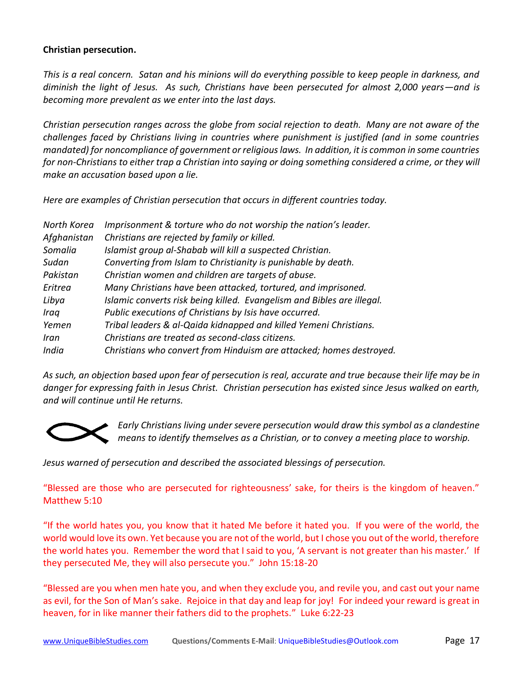### **Christian persecution.**

*This is a real concern. Satan and his minions will do everything possible to keep people in darkness, and diminish the light of Jesus. As such, Christians have been persecuted for almost 2,000 years—and is becoming more prevalent as we enter into the last days.*

*Christian persecution ranges across the globe from social rejection to death. Many are not aware of the challenges faced by Christians living in countries where punishment is justified (and in some countries mandated) for noncompliance of government or religious laws. In addition, it is common in some countries for non-Christians to either trap a Christian into saying or doing something considered a crime, or they will make an accusation based upon a lie.* 

*Here are examples of Christian persecution that occurs in different countries today.*

| North Korea | Imprisonment & torture who do not worship the nation's leader.         |
|-------------|------------------------------------------------------------------------|
| Afghanistan | Christians are rejected by family or killed.                           |
| Somalia     | Islamist group al-Shabab will kill a suspected Christian.              |
| Sudan       | Converting from Islam to Christianity is punishable by death.          |
| Pakistan    | Christian women and children are targets of abuse.                     |
| Eritrea     | Many Christians have been attacked, tortured, and imprisoned.          |
| Libya       | Islamic converts risk being killed. Evangelism and Bibles are illegal. |
| Iraq        | Public executions of Christians by Isis have occurred.                 |
| Yemen       | Tribal leaders & al-Qaida kidnapped and killed Yemeni Christians.      |
| Iran        | Christians are treated as second-class citizens.                       |
| India       | Christians who convert from Hinduism are attacked; homes destroyed.    |
|             |                                                                        |

*As such, an objection based upon fear of persecution is real, accurate and true because their life may be in danger for expressing faith in Jesus Christ. Christian persecution has existed since Jesus walked on earth, and will continue until He returns.*



*Early Christians living under severe persecution would draw this symbol as a clandestine means to identify themselves as a Christian, or to convey a meeting place to worship.* 

*Jesus warned of persecution and described the associated blessings of persecution.*

"Blessed are those who are persecuted for righteousness' sake, for theirs is the kingdom of heaven." Matthew 5:10

"If the world hates you, you know that it hated Me before it hated you. If you were of the world, the world would love its own. Yet because you are not of the world, but I chose you out of the world, therefore the world hates you. Remember the word that I said to you, 'A servant is not greater than his master.' If they persecuted Me, they will also persecute you." John 15:18-20

"Blessed are you when men hate you, and when they exclude you, and revile you, and cast out your name as evil, for the Son of Man's sake. Rejoice in that day and leap for joy! For indeed your reward is great in heaven, for in like manner their fathers did to the prophets." Luke 6:22-23